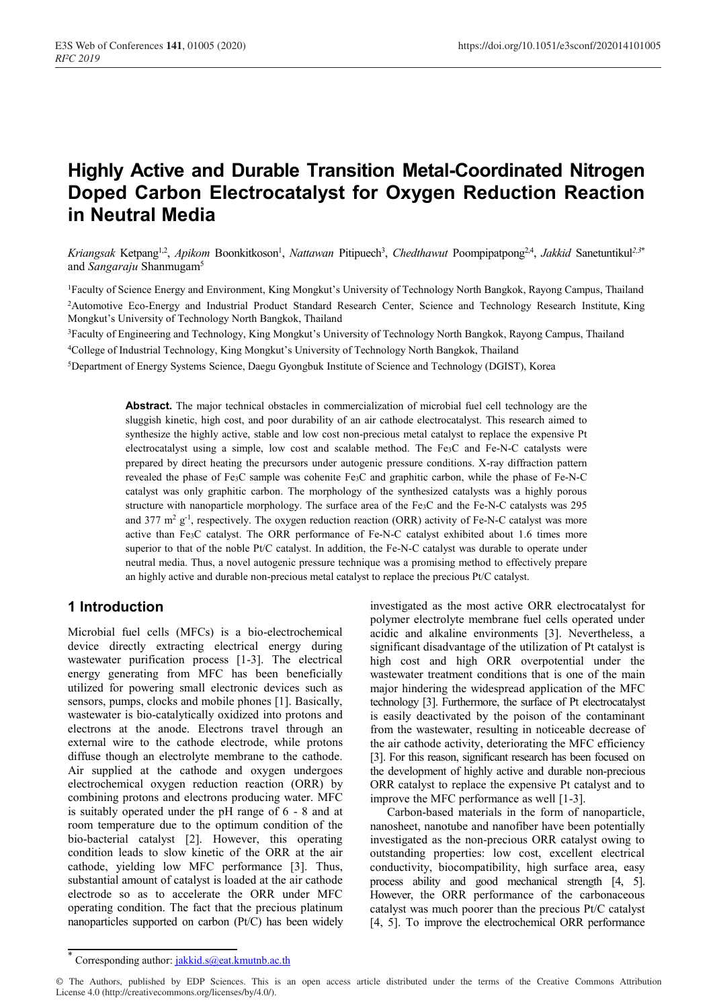# **Highly Active and Durable Transition Metal-Coordinated Nitrogen Doped Carbon Electrocatalyst for Oxygen Reduction Reaction in Neutral Media**

Kriangsak Ketpang<sup>1,2</sup>, Apikom Boonkitkoson<sup>1</sup>, *Nattawan* Pitipuech<sup>3</sup>, *Chedthawut* Poompipatpong<sup>2,4</sup>, Jakkid Sanetuntikul<sup>2,3\*</sup> and *Sangaraju* Shanmugam5

1Faculty of Science Energy and Environment, King Mongkut's University of Technology North Bangkok, Rayong Campus, Thailand 2 Automotive Eco-Energy and Industrial Product Standard Research Center, Science and Technology Research Institute, King Mongkut's University of Technology North Bangkok, Thailand

3Faculty of Engineering and Technology, King Mongkut's University of Technology North Bangkok, Rayong Campus, Thailand 4 College of Industrial Technology, King Mongkut's University of Technology North Bangkok, Thailand

5Department of Energy Systems Science, Daegu Gyongbuk Institute of Science and Technology (DGIST), Korea

**Abstract.** The major technical obstacles in commercialization of microbial fuel cell technology are the sluggish kinetic, high cost, and poor durability of an air cathode electrocatalyst. This research aimed to synthesize the highly active, stable and low cost non-precious metal catalyst to replace the expensive Pt electrocatalyst using a simple, low cost and scalable method. The Fe3C and Fe-N-C catalysts were prepared by direct heating the precursors under autogenic pressure conditions. X-ray diffraction pattern revealed the phase of Fe3C sample was cohenite Fe3C and graphitic carbon, while the phase of Fe-N-C catalyst was only graphitic carbon. The morphology of the synthesized catalysts was a highly porous structure with nanoparticle morphology. The surface area of the Fe3C and the Fe-N-C catalysts was 295 and 377  $m^2 g^{-1}$ , respectively. The oxygen reduction reaction (ORR) activity of Fe-N-C catalyst was more active than Fe3C catalyst. The ORR performance of Fe-N-C catalyst exhibited about 1.6 times more superior to that of the noble Pt/C catalyst. In addition, the Fe-N-C catalyst was durable to operate under neutral media. Thus, a novel autogenic pressure technique was a promising method to effectively prepare an highly active and durable non-precious metal catalyst to replace the precious Pt/C catalyst.

# **1 Introduction**

Microbial fuel cells (MFCs) is a bio-electrochemical device directly extracting electrical energy during wastewater purification process [1-3]. The electrical energy generating from MFC has been beneficially utilized for powering small electronic devices such as sensors, pumps, clocks and mobile phones [1]. Basically, wastewater is bio-catalytically oxidized into protons and electrons at the anode. Electrons travel through an external wire to the cathode electrode, while protons diffuse though an electrolyte membrane to the cathode. Air supplied at the cathode and oxygen undergoes electrochemical oxygen reduction reaction (ORR) by combining protons and electrons producing water. MFC is suitably operated under the pH range of 6 - 8 and at room temperature due to the optimum condition of the bio-bacterial catalyst [2]. However, this operating condition leads to slow kinetic of the ORR at the air cathode, yielding low MFC performance [3]. Thus, substantial amount of catalyst is loaded at the air cathode electrode so as to accelerate the ORR under MFC operating condition. The fact that the precious platinum nanoparticles supported on carbon (Pt/C) has been widely investigated as the most active ORR electrocatalyst for polymer electrolyte membrane fuel cells operated under acidic and alkaline environments [3]. Nevertheless, a significant disadvantage of the utilization of Pt catalyst is high cost and high ORR overpotential under the wastewater treatment conditions that is one of the main major hindering the widespread application of the MFC technology [3]. Furthermore, the surface of Pt electrocatalyst is easily deactivated by the poison of the contaminant from the wastewater, resulting in noticeable decrease of the air cathode activity, deteriorating the MFC efficiency [3]. For this reason, significant research has been focused on the development of highly active and durable non-precious ORR catalyst to replace the expensive Pt catalyst and to improve the MFC performance as well [1-3].

Carbon-based materials in the form of nanoparticle, nanosheet, nanotube and nanofiber have been potentially investigated as the non-precious ORR catalyst owing to outstanding properties: low cost, excellent electrical conductivity, biocompatibility, high surface area, easy process ability and good mechanical strength [4, 5]. However, the ORR performance of the carbonaceous catalyst was much poorer than the precious Pt/C catalyst [4, 5]. To improve the electrochemical ORR performance

<sup>\*</sup> Corresponding author: jakkid.s@eat.kmutnb.ac.th

<sup>©</sup> The Authors, published by EDP Sciences. This is an open access article distributed under the terms of the Creative Commons Attribution License 4.0 (http://creativecommons.org/licenses/by/4.0/).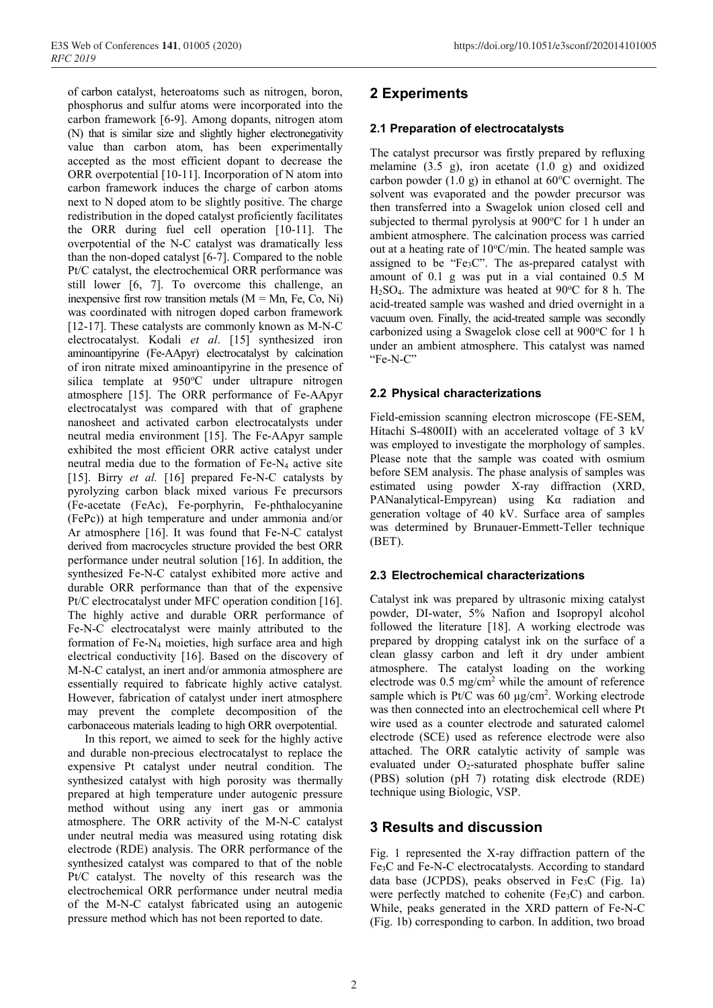of carbon catalyst, heteroatoms such as nitrogen, boron, phosphorus and sulfur atoms were incorporated into the carbon framework [6-9]. Among dopants, nitrogen atom (N) that is similar size and slightly higher electronegativity value than carbon atom, has been experimentally accepted as the most efficient dopant to decrease the ORR overpotential [10-11]. Incorporation of N atom into carbon framework induces the charge of carbon atoms next to N doped atom to be slightly positive. The charge redistribution in the doped catalyst proficiently facilitates the ORR during fuel cell operation [10-11]. The overpotential of the N-C catalyst was dramatically less than the non-doped catalyst [6-7]. Compared to the noble Pt/C catalyst, the electrochemical ORR performance was still lower [6, 7]. To overcome this challenge, an inexpensive first row transition metals  $(M = Mn, Fe, Co, Ni)$ was coordinated with nitrogen doped carbon framework [12-17]. These catalysts are commonly known as M-N-C electrocatalyst. Kodali *et al*. [15] synthesized iron aminoantipyrine (Fe-AApyr) electrocatalyst by calcination of iron nitrate mixed aminoantipyrine in the presence of silica template at 950°C under ultrapure nitrogen atmosphere [15]. The ORR performance of Fe-AApyr electrocatalyst was compared with that of graphene nanosheet and activated carbon electrocatalysts under neutral media environment [15]. The Fe-AApyr sample exhibited the most efficient ORR active catalyst under neutral media due to the formation of Fe-N4 active site [15]. Birry *et al.* [16] prepared Fe-N-C catalysts by pyrolyzing carbon black mixed various Fe precursors (Fe-acetate (FeAc), Fe-porphyrin, Fe-phthalocyanine (FePc)) at high temperature and under ammonia and/or Ar atmosphere [16]. It was found that Fe-N-C catalyst derived from macrocycles structure provided the best ORR performance under neutral solution [16]. In addition, the synthesized Fe-N-C catalyst exhibited more active and durable ORR performance than that of the expensive Pt/C electrocatalyst under MFC operation condition [16]. The highly active and durable ORR performance of Fe-N-C electrocatalyst were mainly attributed to the formation of Fe-N4 moieties, high surface area and high electrical conductivity [16]. Based on the discovery of M-N-C catalyst, an inert and/or ammonia atmosphere are essentially required to fabricate highly active catalyst. However, fabrication of catalyst under inert atmosphere may prevent the complete decomposition of the carbonaceous materials leading to high ORR overpotential.

In this report, we aimed to seek for the highly active and durable non-precious electrocatalyst to replace the expensive Pt catalyst under neutral condition. The synthesized catalyst with high porosity was thermally prepared at high temperature under autogenic pressure method without using any inert gas or ammonia atmosphere. The ORR activity of the M-N-C catalyst under neutral media was measured using rotating disk electrode (RDE) analysis. The ORR performance of the synthesized catalyst was compared to that of the noble Pt/C catalyst. The novelty of this research was the electrochemical ORR performance under neutral media of the M-N-C catalyst fabricated using an autogenic pressure method which has not been reported to date.

# **2 Experiments**

#### **2.1 Preparation of electrocatalysts**

The catalyst precursor was firstly prepared by refluxing melamine (3.5 g), iron acetate (1.0 g) and oxidized carbon powder  $(1.0 \text{ g})$  in ethanol at  $60^{\circ}$ C overnight. The solvent was evaporated and the powder precursor was then transferred into a Swagelok union closed cell and subjected to thermal pyrolysis at  $900^{\circ}$ C for 1 h under an ambient atmosphere. The calcination process was carried out at a heating rate of 10°C/min. The heated sample was assigned to be "Fe<sub>3</sub>C". The as-prepared catalyst with amount of 0.1 g was put in a vial contained 0.5 M  $H<sub>2</sub>SO<sub>4</sub>$ . The admixture was heated at  $90^{\circ}$ C for 8 h. The acid-treated sample was washed and dried overnight in a vacuum oven. Finally, the acid-treated sample was secondly carbonized using a Swagelok close cell at 900°C for 1 h under an ambient atmosphere. This catalyst was named "Fe-N-C"

#### **2.2 Physical characterizations**

Field-emission scanning electron microscope (FE-SEM, Hitachi S-4800II) with an accelerated voltage of 3 kV was employed to investigate the morphology of samples. Please note that the sample was coated with osmium before SEM analysis. The phase analysis of samples was estimated using powder X-ray diffraction (XRD, PANanalytical-Empyrean) using Kα radiation and generation voltage of 40 kV. Surface area of samples was determined by Brunauer-Emmett-Teller technique (BET).

#### **2.3 Electrochemical characterizations**

Catalyst ink was prepared by ultrasonic mixing catalyst powder, DI-water, 5% Nafion and Isopropyl alcohol followed the literature [18]. A working electrode was prepared by dropping catalyst ink on the surface of a clean glassy carbon and left it dry under ambient atmosphere. The catalyst loading on the working electrode was  $0.5 \text{ mg/cm}^2$  while the amount of reference sample which is Pt/C was 60 µg/cm<sup>2</sup>. Working electrode was then connected into an electrochemical cell where Pt wire used as a counter electrode and saturated calomel electrode (SCE) used as reference electrode were also attached. The ORR catalytic activity of sample was evaluated under  $O<sub>2</sub>$ -saturated phosphate buffer saline (PBS) solution (pH 7) rotating disk electrode (RDE) technique using Biologic, VSP.

## **3 Results and discussion**

Fig. 1 represented the X-ray diffraction pattern of the Fe3C and Fe-N-C electrocatalysts. According to standard data base (JCPDS), peaks observed in Fe<sub>3</sub>C (Fig. 1a) were perfectly matched to cohenite  $(Fe<sub>3</sub>C)$  and carbon. While, peaks generated in the XRD pattern of Fe-N-C (Fig. 1b) corresponding to carbon. In addition, two broad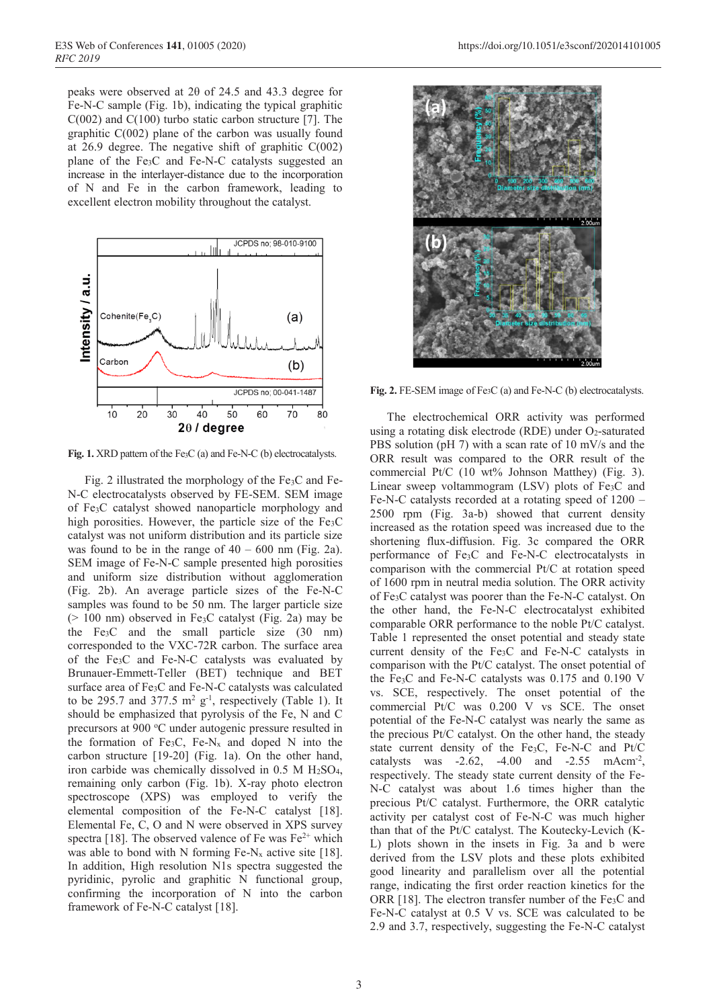peaks were observed at  $2\theta$  of  $24.5$  and  $43.3$  degree for Fe-N-C sample (Fig. 1b), indicating the typical graphitic  $C(002)$  and  $C(100)$  turbo static carbon structure [7]. The graphitic  $C(002)$  plane of the carbon was usually found at 26.9 degree. The negative shift of graphitic  $C(002)$ plane of the Fe3C and Fe-N-C catalysts suggested an increase in the interlayer-distance due to the incorporation of N and Fe in the carbon framework, leading to excellent electron mobility throughout the catalyst.



**Fig. 1.** XRD pattern of the Fe3C (a) and Fe-N-C (b) electrocatalysts.

Fig. 2 illustrated the morphology of the  $Fe<sub>3</sub>C$  and Fe-N-C electrocatalysts observed by FE-SEM. SEM image of Fe3C catalyst showed nanoparticle morphology and high porosities. However, the particle size of the Fe<sub>3</sub>C catalyst was not uniform distribution and its particle size was found to be in the range of  $40 - 600$  nm (Fig. 2a). SEM image of Fe-N-C sample presented high porosities and uniform size distribution without agglomeration (Fig. 2b). An average particle sizes of the Fe-N-C samples was found to be 50 nm. The larger particle size  $(> 100$  nm) observed in Fe<sub>3</sub>C catalyst (Fig. 2a) may be the Fe3C and the small particle size (30 nm) corresponded to the VXC-72R carbon. The surface area of the Fe3C and Fe-N-C catalysts was evaluated by Brunauer-Emmett-Teller (BET) technique and BET surface area of Fe3C and Fe-N-C catalysts was calculated to be 295.7 and 377.5  $m^2$  g<sup>-1</sup>, respectively (Table 1). It should be emphasized that pyrolysis of the Fe, N and C precursors at 900 °C under autogenic pressure resulted in the formation of Fe<sub>3</sub>C, Fe-N<sub>x</sub> and doped N into the carbon structure [19-20] (Fig. 1a). On the other hand, iron carbide was chemically dissolved in  $0.5$  M  $H<sub>2</sub>SO<sub>4</sub>$ , remaining only carbon (Fig. 1b). X-ray photo electron spectroscope (XPS) was employed to verify the elemental composition of the Fe-N-C catalyst [18]. Elemental Fe, C, O and N were observed in XPS survey spectra [18]. The observed valence of Fe was  $Fe<sup>2+</sup>$  which was able to bond with N forming Fe-N<sub>x</sub> active site [18]. In addition, High resolution N1s spectra suggested the pyridinic, pyrolic and graphitic N functional group, confirming the incorporation of N into the carbon framework of Fe-N-C catalyst [18].



**Fig. 2.** FE-SEM image of Fe3C (a) and Fe-N-C (b) electrocatalysts.

The electrochemical ORR activity was performed using a rotating disk electrode (RDE) under O<sub>2</sub>-saturated PBS solution (pH 7) with a scan rate of 10 mV/s and the ORR result was compared to the ORR result of the commercial Pt/C (10 wt% Johnson Matthey) (Fig. 3). Linear sweep voltammogram (LSV) plots of Fe<sub>3</sub>C and Fe-N-C catalysts recorded at a rotating speed of 1200 – 2500 rpm (Fig. 3a-b) showed that current density increased as the rotation speed was increased due to the shortening flux-diffusion. Fig. 3c compared the ORR performance of Fe3C and Fe-N-C electrocatalysts in comparison with the commercial Pt/C at rotation speed of 1600 rpm in neutral media solution. The ORR activity of Fe3C catalyst was poorer than the Fe-N-C catalyst. On the other hand, the Fe-N-C electrocatalyst exhibited comparable ORR performance to the noble Pt/C catalyst. Table 1 represented the onset potential and steady state current density of the Fe3C and Fe-N-C catalysts in comparison with the Pt/C catalyst. The onset potential of the Fe3C and Fe-N-C catalysts was 0.175 and 0.190 V vs. SCE, respectively. The onset potential of the commercial Pt/C was 0.200 V vs SCE. The onset potential of the Fe-N-C catalyst was nearly the same as the precious Pt/C catalyst. On the other hand, the steady state current density of the Fe3C, Fe-N-C and Pt/C catalysts was  $-2.62$ ,  $-4.00$  and  $-2.55$  mAcm<sup>-2</sup>, respectively. The steady state current density of the Fe-N-C catalyst was about 1.6 times higher than the precious Pt/C catalyst. Furthermore, the ORR catalytic activity per catalyst cost of Fe-N-C was much higher than that of the Pt/C catalyst. The Koutecky-Levich (K-L) plots shown in the insets in Fig. 3a and b were derived from the LSV plots and these plots exhibited good linearity and parallelism over all the potential range, indicating the first order reaction kinetics for the ORR [18]. The electron transfer number of the  $Fe<sub>3</sub>C$  and Fe-N-C catalyst at 0.5 V vs. SCE was calculated to be 2.9 and 3.7, respectively, suggesting the Fe-N-C catalyst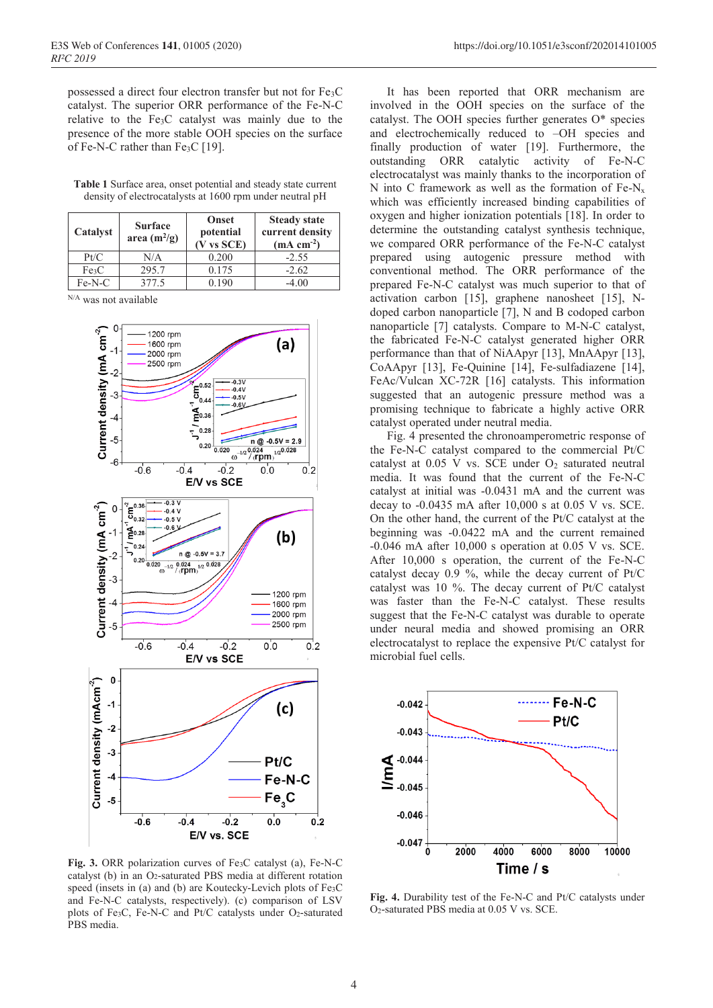possessed a direct four electron transfer but not for Fe3C catalyst. The superior ORR performance of the Fe-N-C relative to the Fe3C catalyst was mainly due to the presence of the more stable OOH species on the surface of Fe-N-C rather than  $Fe<sub>3</sub>C$  [19].

**Table 1** Surface area, onset potential and steady state current density of electrocatalysts at 1600 rpm under neutral pH

| Catalyst          | <b>Surface</b><br>area $(m^2/g)$ | <b>Onset</b><br>potential<br>$(V$ vs $SCE)$ | <b>Steady state</b><br>current density<br>$(mA cm-2)$ |
|-------------------|----------------------------------|---------------------------------------------|-------------------------------------------------------|
| Pt/C              | N/A                              | 0.200                                       | $-2.55$                                               |
| Fe <sub>3</sub> C | 295.7                            | 0.175                                       | $-2.62$                                               |
| $Fe-N-C$          | 377.5                            | 0.190                                       | $-4.00$                                               |

N/A was not available



**Fig. 3.** ORR polarization curves of Fe3C catalyst (a), Fe-N-C catalyst (b) in an O2-saturated PBS media at different rotation speed (insets in (a) and (b) are Koutecky-Levich plots of Fe<sub>3</sub>C and Fe-N-C catalysts, respectively). (c) comparison of LSV plots of Fe3C, Fe-N-C and Pt/C catalysts under O2-saturated PBS media.

It has been reported that ORR mechanism are involved in the OOH species on the surface of the catalyst. The OOH species further generates O\* species and electrochemically reduced to –OH species and finally production of water [19]. Furthermore, the outstanding ORR catalytic activity of Fe-N-C electrocatalyst was mainly thanks to the incorporation of N into C framework as well as the formation of  $Fe-N_x$ which was efficiently increased binding capabilities of oxygen and higher ionization potentials [18]. In order to determine the outstanding catalyst synthesis technique, we compared ORR performance of the Fe-N-C catalyst prepared using autogenic pressure method with conventional method. The ORR performance of the prepared Fe-N-C catalyst was much superior to that of activation carbon [15], graphene nanosheet [15], Ndoped carbon nanoparticle [7], N and B codoped carbon nanoparticle [7] catalysts. Compare to M-N-C catalyst, the fabricated Fe-N-C catalyst generated higher ORR performance than that of NiAApyr [13], MnAApyr [13], CoAApyr [13], Fe-Quinine [14], Fe-sulfadiazene [14], FeAc/Vulcan XC-72R [16] catalysts. This information suggested that an autogenic pressure method was a promising technique to fabricate a highly active ORR catalyst operated under neutral media.

Fig. 4 presented the chronoamperometric response of the Fe-N-C catalyst compared to the commercial Pt/C catalyst at 0.05 V vs. SCE under O<sub>2</sub> saturated neutral media. It was found that the current of the Fe-N-C catalyst at initial was -0.0431 mA and the current was decay to -0.0435 mA after 10,000 s at 0.05 V vs. SCE. On the other hand, the current of the Pt/C catalyst at the beginning was -0.0422 mA and the current remained -0.046 mA after 10,000 s operation at 0.05 V vs. SCE. After 10,000 s operation, the current of the Fe-N-C catalyst decay 0.9 %, while the decay current of Pt/C catalyst was 10 %. The decay current of Pt/C catalyst was faster than the Fe-N-C catalyst. These results suggest that the Fe-N-C catalyst was durable to operate under neural media and showed promising an ORR electrocatalyst to replace the expensive Pt/C catalyst for microbial fuel cells.



**Fig. 4.** Durability test of the Fe-N-C and Pt/C catalysts under O2-saturated PBS media at 0.05 V vs. SCE.